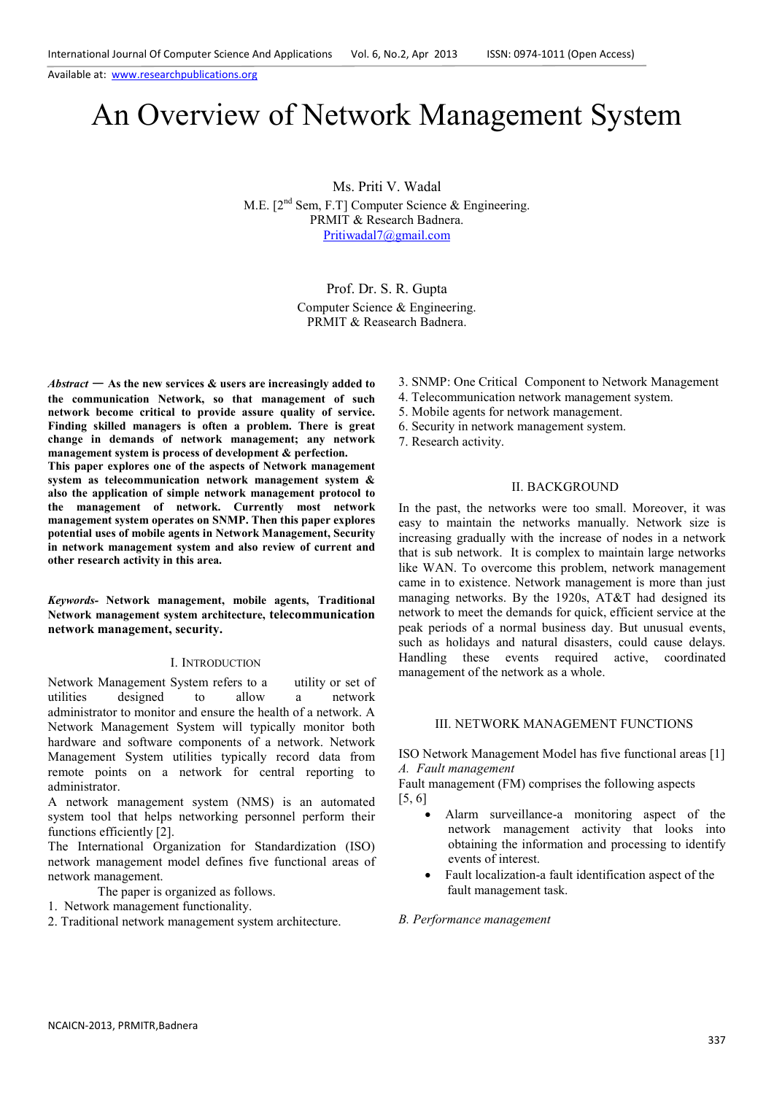# An Overview of Network Management System

Ms. Priti V. Wadal

M.E. [2<sup>nd</sup> Sem, F.T] Computer Science & Engineering. PRMIT & Research Badnera. Pritiwadal7@gmail.com

> Prof. Dr. S. R. Gupta Computer Science & Engineering. PRMIT & Reasearch Badnera.

*Abstract* — **As the new services & users are increasingly added to the communication Network, so that management of such network become critical to provide assure quality of service. Finding skilled managers is often a problem. There is great change in demands of network management; any network management system is process of development & perfection.** 

**This paper explores one of the aspects of Network management system as telecommunication network management system & also the application of simple network management protocol to the management of network. Currently most network management system operates on SNMP. Then this paper explores potential uses of mobile agents in Network Management, Security in network management system and also review of current and other research activity in this area.** 

# *Keywords-* **Network management, mobile agents, Traditional Network management system architecture, telecommunication network management, security.**

#### I. INTRODUCTION

Network Management System refers to a utility or set of utilities designed to allow a network administrator to monitor and ensure the health of a network. A Network Management System will typically monitor both hardware and software components of a network. Network Management System utilities typically record data from remote points on a network for central reporting to administrator.

A network management system (NMS) is an automated system tool that helps networking personnel perform their functions efficiently [2].

The International Organization for Standardization (ISO) network management model defines five functional areas of network management.

The paper is organized as follows.

- 1. Network management functionality.
- 2. Traditional network management system architecture.
- 3. SNMP: One Critical Component to Network Management
- 4. Telecommunication network management system.
- 5. Mobile agents for network management.
- 6. Security in network management system.
- 7. Research activity.

## II. BACKGROUND

In the past, the networks were too small. Moreover, it was easy to maintain the networks manually. Network size is increasing gradually with the increase of nodes in a network that is sub network. It is complex to maintain large networks like WAN. To overcome this problem, network management came in to existence. Network management is more than just managing networks. By the 1920s, AT&T had designed its network to meet the demands for quick, efficient service at the peak periods of a normal business day. But unusual events, such as holidays and natural disasters, could cause delays. Handling these events required active, coordinated management of the network as a whole.

# III. NETWORK MANAGEMENT FUNCTIONS

ISO Network Management Model has five functional areas [1] *A. Fault management* 

Fault management (FM) comprises the following aspects [5, 6]

- Alarm surveillance-a monitoring aspect of the network management activity that looks into obtaining the information and processing to identify events of interest.
	- Fault localization-a fault identification aspect of the fault management task.

#### *B. Performance management*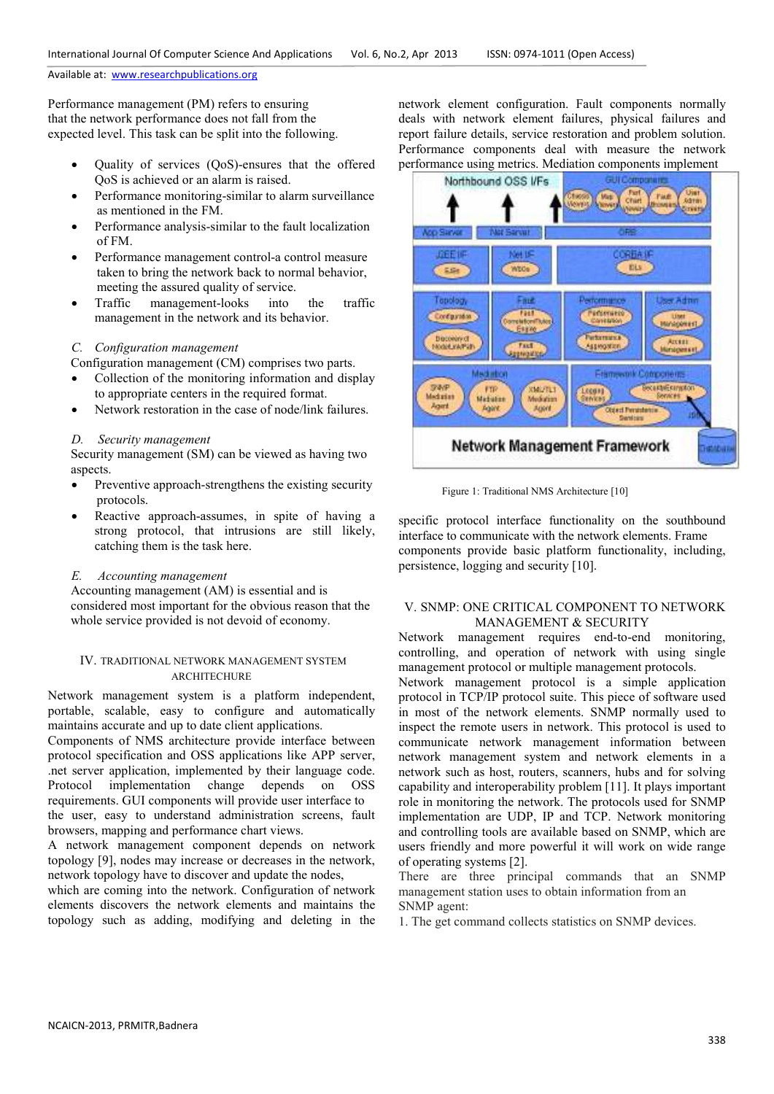Performance management (PM) refers to ensuring that the network performance does not fall from the expected level. This task can be split into the following.

- Quality of services (QoS)-ensures that the offered QoS is achieved or an alarm is raised.
- Performance monitoring-similar to alarm surveillance as mentioned in the FM.
- Performance analysis-similar to the fault localization of FM.
- Performance management control-a control measure taken to bring the network back to normal behavior, meeting the assured quality of service.
- Traffic management-looks into the traffic management in the network and its behavior.

# *C. Configuration management*

Configuration management (CM) comprises two parts.

- Collection of the monitoring information and display to appropriate centers in the required format.
- Network restoration in the case of node/link failures.

### *D. Security management*

 Security management (SM) can be viewed as having two aspects.

- Preventive approach-strengthens the existing security protocols.
- Reactive approach-assumes, in spite of having a strong protocol, that intrusions are still likely, catching them is the task here.

# *E. Accounting management*

 Accounting management (AM) is essential and is considered most important for the obvious reason that the whole service provided is not devoid of economy.

# IV. TRADITIONAL NETWORK MANAGEMENT SYSTEM ARCHITECHURE

Network management system is a platform independent, portable, scalable, easy to configure and automatically maintains accurate and up to date client applications.

Components of NMS architecture provide interface between protocol specification and OSS applications like APP server, .net server application, implemented by their language code. Protocol implementation change depends on OSS requirements. GUI components will provide user interface to the user, easy to understand administration screens, fault browsers, mapping and performance chart views.

A network management component depends on network topology [9], nodes may increase or decreases in the network, network topology have to discover and update the nodes,

which are coming into the network. Configuration of network elements discovers the network elements and maintains the topology such as adding, modifying and deleting in the network element configuration. Fault components normally deals with network element failures, physical failures and report failure details, service restoration and problem solution. Performance components deal with measure the network performance using metrics. Mediation components implement



Figure 1: Traditional NMS Architecture [10]

specific protocol interface functionality on the southbound interface to communicate with the network elements. Frame components provide basic platform functionality, including, persistence, logging and security [10].

# V. SNMP: ONE CRITICAL COMPONENT TO NETWORK MANAGEMENT & SECURITY

Network management requires end-to-end monitoring, controlling, and operation of network with using single management protocol or multiple management protocols.

Network management protocol is a simple application protocol in TCP/IP protocol suite. This piece of software used in most of the network elements. SNMP normally used to inspect the remote users in network. This protocol is used to communicate network management information between network management system and network elements in a network such as host, routers, scanners, hubs and for solving capability and interoperability problem [11]. It plays important role in monitoring the network. The protocols used for SNMP implementation are UDP, IP and TCP. Network monitoring and controlling tools are available based on SNMP, which are users friendly and more powerful it will work on wide range of operating systems [2].

There are three principal commands that an SNMP management station uses to obtain information from an SNMP agent:

1. The get command collects statistics on SNMP devices.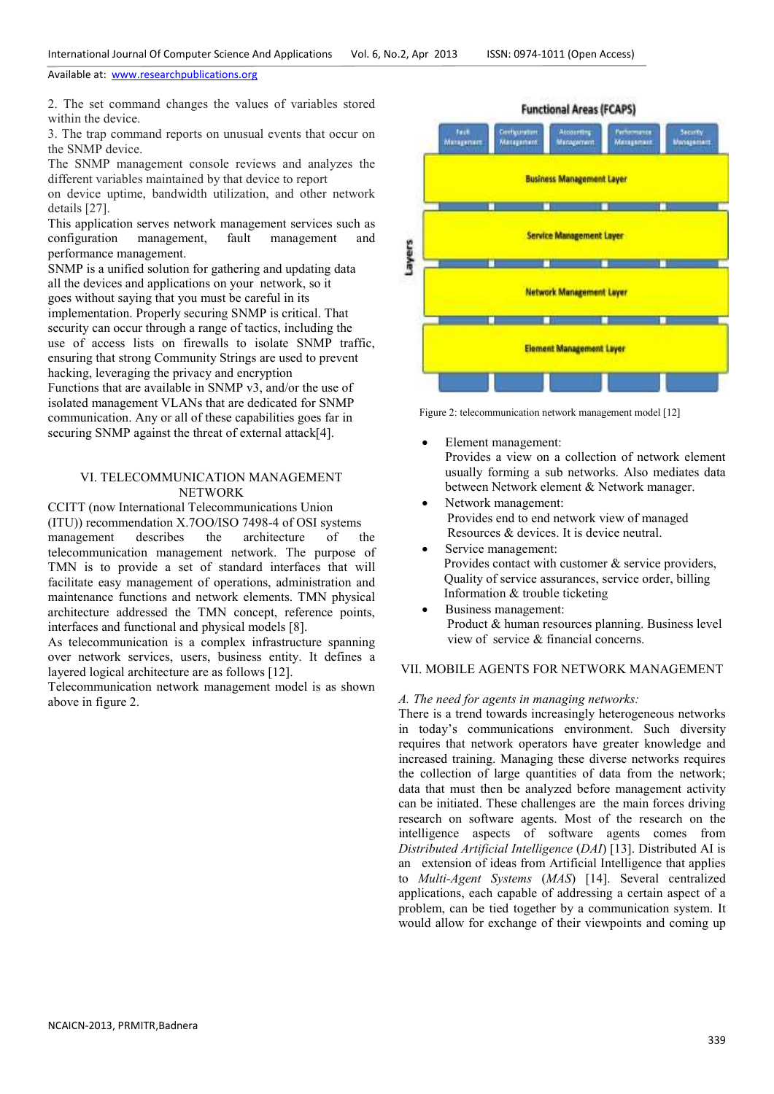2. The set command changes the values of variables stored within the device.

3. The trap command reports on unusual events that occur on the SNMP device.

The SNMP management console reviews and analyzes the different variables maintained by that device to report on device uptime, bandwidth utilization, and other network details [27].

This application serves network management services such as<br>configuration management. fault management and configuration management, fault management and performance management.

SNMP is a unified solution for gathering and updating data all the devices and applications on your network, so it goes without saying that you must be careful in its implementation. Properly securing SNMP is critical. That security can occur through a range of tactics, including the use of access lists on firewalls to isolate SNMP traffic, ensuring that strong Community Strings are used to prevent hacking, leveraging the privacy and encryption Functions that are available in SNMP v3, and/or the use of isolated management VLANs that are dedicated for SNMP communication. Any or all of these capabilities goes far in securing SNMP against the threat of external attack[4].

# VI. TELECOMMUNICATION MANAGEMENT **NETWORK**

CCITT (now International Telecommunications Union (ITU)) recommendation X.7OO/ISO 7498-4 of OSI systems<br>management describes the architecture of t management describes the architecture of the telecommunication management network. The purpose of TMN is to provide a set of standard interfaces that will facilitate easy management of operations, administration and maintenance functions and network elements. TMN physical architecture addressed the TMN concept, reference points, interfaces and functional and physical models [8].

As telecommunication is a complex infrastructure spanning over network services, users, business entity. It defines a layered logical architecture are as follows [12].

Telecommunication network management model is as shown above in figure 2.



Figure 2: telecommunication network management model [12]

• Element management:

Provides a view on a collection of network element usually forming a sub networks. Also mediates data between Network element & Network manager.

- Network management: Provides end to end network view of managed Resources & devices. It is device neutral.
- Service management: Provides contact with customer & service providers, Quality of service assurances, service order, billing Information & trouble ticketing
- Business management: Product & human resources planning. Business level view of service & financial concerns.

# VII. MOBILE AGENTS FOR NETWORK MANAGEMENT

#### *A. The need for agents in managing networks:*

There is a trend towards increasingly heterogeneous networks in today's communications environment. Such diversity requires that network operators have greater knowledge and increased training. Managing these diverse networks requires the collection of large quantities of data from the network; data that must then be analyzed before management activity can be initiated. These challenges are the main forces driving research on software agents. Most of the research on the intelligence aspects of software agents comes from *Distributed Artificial Intelligence* (*DAI*) [13]. Distributed AI is an extension of ideas from Artificial Intelligence that applies to *Multi-Agent Systems* (*MAS*) [14]. Several centralized applications, each capable of addressing a certain aspect of a problem, can be tied together by a communication system. It would allow for exchange of their viewpoints and coming up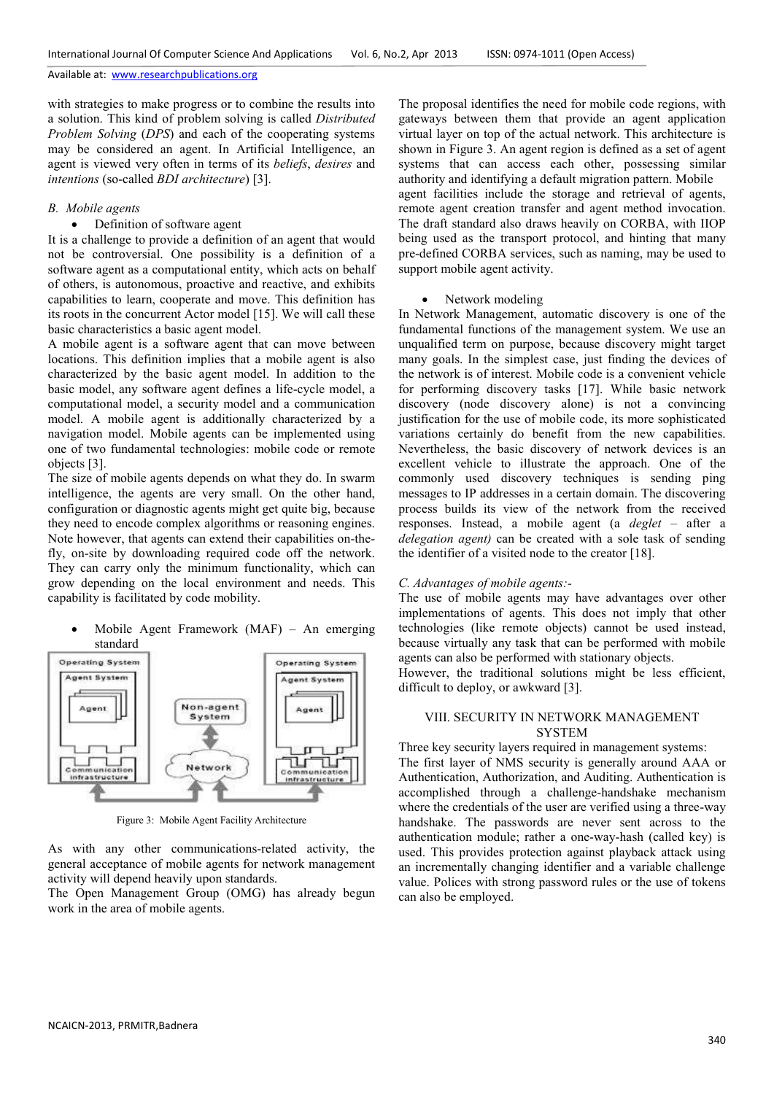with strategies to make progress or to combine the results into a solution. This kind of problem solving is called *Distributed Problem Solving (DPS)* and each of the cooperating systems may be considered an agent. In Artificial Intelligence, an agent is viewed very often in terms of its *beliefs*, *desires* and *intentions* (so-called *BDI architecture*) [3].

# *B. Mobile agents*

## • Definition of software agent

It is a challenge to provide a definition of an agent that would not be controversial. One possibility is a definition of a software agent as a computational entity, which acts on behalf of others, is autonomous, proactive and reactive, and exhibits capabilities to learn, cooperate and move. This definition has its roots in the concurrent Actor model [15]. We will call these basic characteristics a basic agent model.

A mobile agent is a software agent that can move between locations. This definition implies that a mobile agent is also characterized by the basic agent model. In addition to the basic model, any software agent defines a life-cycle model, a computational model, a security model and a communication model. A mobile agent is additionally characterized by a navigation model. Mobile agents can be implemented using one of two fundamental technologies: mobile code or remote objects [3].

The size of mobile agents depends on what they do. In swarm intelligence, the agents are very small. On the other hand, configuration or diagnostic agents might get quite big, because they need to encode complex algorithms or reasoning engines. Note however, that agents can extend their capabilities on-thefly, on-site by downloading required code off the network. They can carry only the minimum functionality, which can grow depending on the local environment and needs. This capability is facilitated by code mobility.

• Mobile Agent Framework (MAF) – An emerging standard



Figure 3: Mobile Agent Facility Architecture

As with any other communications-related activity, the general acceptance of mobile agents for network management activity will depend heavily upon standards.

The Open Management Group (OMG) has already begun work in the area of mobile agents.

The proposal identifies the need for mobile code regions, with gateways between them that provide an agent application virtual layer on top of the actual network. This architecture is shown in Figure 3. An agent region is defined as a set of agent systems that can access each other, possessing similar authority and identifying a default migration pattern. Mobile agent facilities include the storage and retrieval of agents, remote agent creation transfer and agent method invocation. The draft standard also draws heavily on CORBA, with IIOP being used as the transport protocol, and hinting that many pre-defined CORBA services, such as naming, may be used to support mobile agent activity.

#### • Network modeling

In Network Management, automatic discovery is one of the fundamental functions of the management system. We use an unqualified term on purpose, because discovery might target many goals. In the simplest case, just finding the devices of the network is of interest. Mobile code is a convenient vehicle for performing discovery tasks [17]. While basic network discovery (node discovery alone) is not a convincing justification for the use of mobile code, its more sophisticated variations certainly do benefit from the new capabilities. Nevertheless, the basic discovery of network devices is an excellent vehicle to illustrate the approach. One of the commonly used discovery techniques is sending ping messages to IP addresses in a certain domain. The discovering process builds its view of the network from the received responses. Instead, a mobile agent (a *deglet* – after a *delegation agent)* can be created with a sole task of sending the identifier of a visited node to the creator [18].

## *C. Advantages of mobile agents:-*

The use of mobile agents may have advantages over other implementations of agents. This does not imply that other technologies (like remote objects) cannot be used instead, because virtually any task that can be performed with mobile agents can also be performed with stationary objects.

However, the traditional solutions might be less efficient, difficult to deploy, or awkward [3].

# VIII. SECURITY IN NETWORK MANAGEMENT **SYSTEM**

## Three key security layers required in management systems:

The first layer of NMS security is generally around AAA or Authentication, Authorization, and Auditing. Authentication is accomplished through a challenge-handshake mechanism where the credentials of the user are verified using a three-way handshake. The passwords are never sent across to the authentication module; rather a one-way-hash (called key) is used. This provides protection against playback attack using an incrementally changing identifier and a variable challenge value. Polices with strong password rules or the use of tokens can also be employed.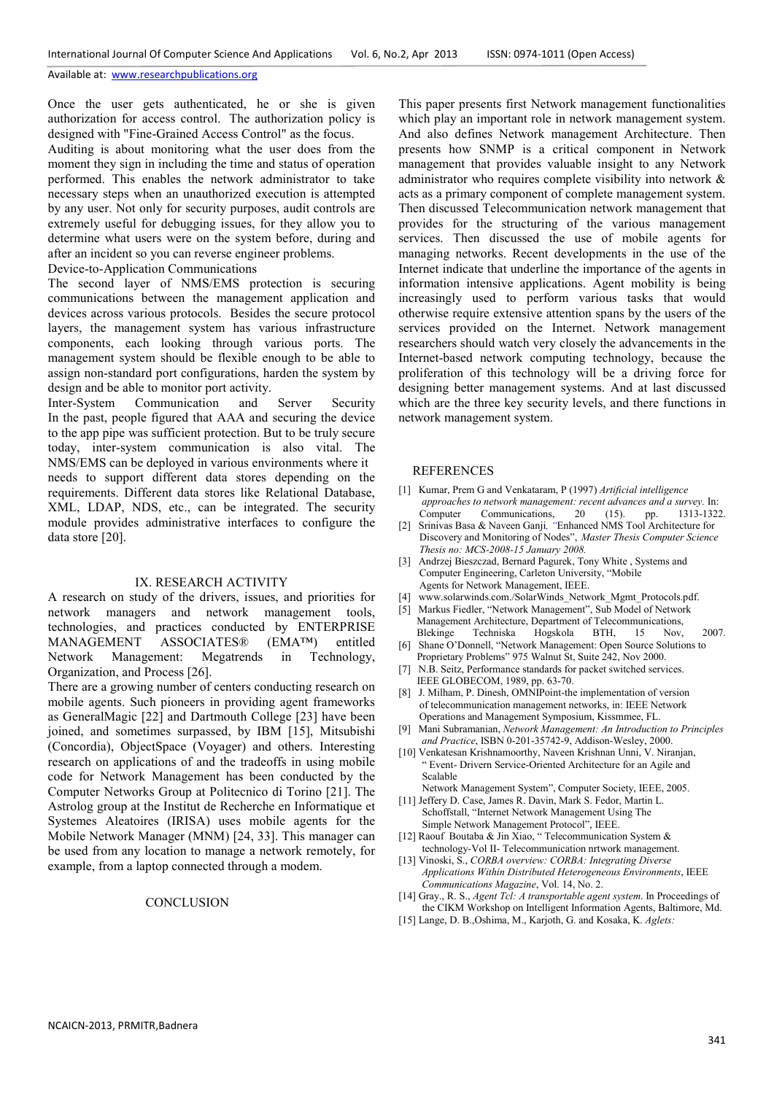Once the user gets authenticated, he or she is given authorization for access control. The authorization policy is designed with "Fine-Grained Access Control" as the focus.

Auditing is about monitoring what the user does from the moment they sign in including the time and status of operation performed. This enables the network administrator to take necessary steps when an unauthorized execution is attempted by any user. Not only for security purposes, audit controls are extremely useful for debugging issues, for they allow you to determine what users were on the system before, during and after an incident so you can reverse engineer problems.

Device-to-Application Communications

The second layer of NMS/EMS protection is securing communications between the management application and devices across various protocols. Besides the secure protocol layers, the management system has various infrastructure components, each looking through various ports. The management system should be flexible enough to be able to assign non-standard port configurations, harden the system by design and be able to monitor port activity.

Inter-System Communication and Server Security In the past, people figured that AAA and securing the device to the app pipe was sufficient protection. But to be truly secure today, inter-system communication is also vital. The NMS/EMS can be deployed in various environments where it needs to support different data stores depending on the requirements. Different data stores like Relational Database, XML, LDAP, NDS, etc., can be integrated. The security module provides administrative interfaces to configure the data store [20].

#### IX. RESEARCH ACTIVITY

A research on study of the drivers, issues, and priorities for network managers and network management tools, technologies, and practices conducted by ENTERPRISE MANAGEMENT ASSOCIATES® (EMA™) entitled Network Management: Megatrends in Technology, Organization, and Process [26].

There are a growing number of centers conducting research on mobile agents. Such pioneers in providing agent frameworks as GeneralMagic [22] and Dartmouth College [23] have been joined, and sometimes surpassed, by IBM [15], Mitsubishi (Concordia), ObjectSpace (Voyager) and others. Interesting research on applications of and the tradeoffs in using mobile code for Network Management has been conducted by the Computer Networks Group at Politecnico di Torino [21]. The Astrolog group at the Institut de Recherche en Informatique et Systemes Aleatoires (IRISA) uses mobile agents for the Mobile Network Manager (MNM) [24, 33]. This manager can be used from any location to manage a network remotely, for example, from a laptop connected through a modem.

## **CONCLUSION**

This paper presents first Network management functionalities which play an important role in network management system. And also defines Network management Architecture. Then presents how SNMP is a critical component in Network management that provides valuable insight to any Network administrator who requires complete visibility into network & acts as a primary component of complete management system. Then discussed Telecommunication network management that provides for the structuring of the various management services. Then discussed the use of mobile agents for managing networks. Recent developments in the use of the Internet indicate that underline the importance of the agents in information intensive applications. Agent mobility is being increasingly used to perform various tasks that would otherwise require extensive attention spans by the users of the services provided on the Internet. Network management researchers should watch very closely the advancements in the Internet-based network computing technology, because the proliferation of this technology will be a driving force for designing better management systems. And at last discussed which are the three key security levels, and there functions in network management system.

#### REFERENCES

- [1] Kumar, Prem G and Venkataram, P (1997) *Artificial intelligence approaches to network management: recent advances and a survey.* In: Computer Communications, 20 (15). pp. 1313-1322.
- [2] Srinivas Basa & Naveen Ganji*, "*Enhanced NMS Tool Architecture for Discovery and Monitoring of Nodes", *Master Thesis Computer Science Thesis no: MCS-2008-15 January 2008.*
- [3]Andrzej Bieszczad, Bernard Pagurek, Tony White , Systems and Computer Engineering, Carleton University, "Mobile Agents for Network Management, IEEE.
- www.solarwinds.com./SolarWinds\_Network\_Mgmt\_Protocols.pdf.
- [5]Markus Fiedler, "Network Management", Sub Model of Network Management Architecture, Department of Telecommunications, Blekinge Techniska Hogskola BTH, 15 Nov, 2007.
- [6] Shane O'Donnell, "Network Management: Open Source Solutions to Proprietary Problems" 975 Walnut St, Suite 242, Nov 2000.
- [7] N.B. Seitz, Performance standards for packet switched services. IEEE GLOBECOM, 1989, pp. 63-70.
- [8] J. Milham, P. Dinesh, OMNIPoint-the implementation of version of telecommunication management networks, in: IEEE Network Operations and Management Symposium, Kissmmee, FL.
- [9] Mani Subramanian, *Network Management: An Introduction to Principles and Practice*, ISBN 0-201-35742-9, Addison-Wesley, 2000.
- [10] Venkatesan Krishnamoorthy, Naveen Krishnan Unni, V. Niranjan, " Event- Drivern Service-Oriented Architecture for an Agile and Scalable
- Network Management System", Computer Society, IEEE, 2005. [11] Jeffery D. Case, James R. Davin, Mark S. Fedor, Martin L. Schoffstall, "Internet Network Management Using The
- Simple Network Management Protocol", IEEE. [12] Raouf Boutaba & Jin Xiao, "Telecommunication System &
- technology-Vol II- Telecommunication nrtwork management. [13] Vinoski, S., *CORBA overview: CORBA: Integrating Diverse*
- *Applications Within Distributed Heterogeneous Environments*, IEEE *Communications Magazine*, Vol. 14, No. 2.
- [14] Gray., R. S., *Agent Tcl: A transportable agent system*. In Proceedings of the CIKM Workshop on Intelligent Information Agents, Baltimore, Md.
- [15] Lange, D. B.,Oshima, M., Karjoth, G. and Kosaka, K. *Aglets:*